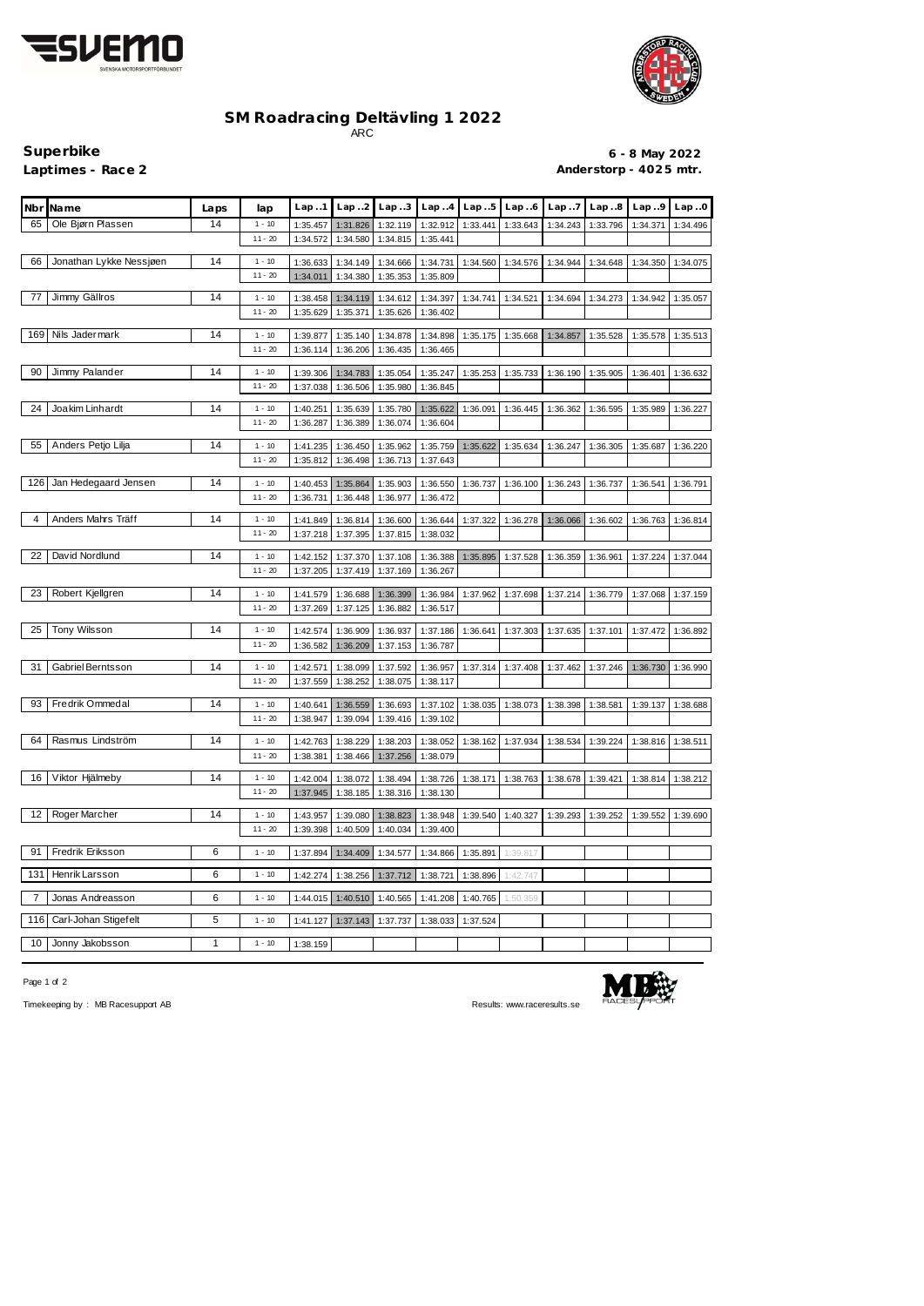



## **SM Roadracing Deltävling 1 2022** ARC

**Superbike 6 - 8 May 2022** Laptimes - Race 2 **Anderstorp - 4025 mtr.** 

|     | Nbr Name                | Laps | lap                   | Lap.1                | Lap.2                | Lap. .3                       | Lap.4                | Lap.5    | Lap.6    | Lap.7    | Lap.8    | Lap.9    | Lap.0             |
|-----|-------------------------|------|-----------------------|----------------------|----------------------|-------------------------------|----------------------|----------|----------|----------|----------|----------|-------------------|
| 65  | Ole Bjørn Plassen       | 14   | $1 - 10$              | 1:35.457             | 1:31.826             | 1:32.119                      | 1:32.912             | 1:33.441 | 1:33.643 | 1:34.243 | 1:33.796 | 1:34.371 | 1:34.496          |
|     |                         |      | $11 - 20$             | 1:34.572             | 1:34.580             | 1:34.815                      | 1:35.441             |          |          |          |          |          |                   |
| 66  | Jonathan Lykke Nessjøen | 14   | $1 - 10$              | 1:36.633             | 1:34.149             | 1:34.666                      | 1:34.731             | 1:34.560 | 1:34.576 | 1:34.944 | 1:34.648 | 1:34.350 | 1:34.075          |
|     |                         |      | $11 - 20$             | 1:34.011             | 1:34.380             | 1:35.353                      | 1:35.809             |          |          |          |          |          |                   |
| 77  | Jimmy Gällros           | 14   | $1 - 10$              | 1:38.458             | 1:34.119             | 1:34.612                      | 1:34.397             | 1:34.741 | 1:34.521 | 1:34.694 | 1:34.273 | 1:34.942 | 1:35.057          |
|     |                         |      | $11 - 20$             | 1:35.629             | 1:35.371             | 1:35.626                      | 1:36.402             |          |          |          |          |          |                   |
| 169 | Nils Jadermark          | 14   | $1 - 10$              | 1:39.877             | 1:35.140             | 1:34.878                      | 1:34.898             | 1:35.175 | 1:35.668 | 1:34.857 | 1:35.528 | 1:35.578 | 1:35.513          |
|     |                         |      | $11 - 20$             | 1:36.114             | 1:36.206             | 1:36.435                      | 1:36.465             |          |          |          |          |          |                   |
| 90  | Jimmy Palander          | 14   | $1 - 10$              | 1:39.306             |                      | 1:35.054                      | 1:35.247             |          |          |          |          |          |                   |
|     |                         |      | $11 - 20$             | 1:37.038             | 1:34.783<br>1:36.506 | 1:35.980                      | 1:36.845             | 1:35.253 | 1:35.733 | 1:36.190 | 1:35.905 | 1:36.401 | 1:36.632          |
| 24  | Joakim Linhardt         | 14   |                       |                      |                      |                               |                      |          |          |          |          |          |                   |
|     |                         |      | $1 - 10$<br>$11 - 20$ | 1:40.251<br>1:36.287 | 1:35.639<br>1:36.389 | 1:35.780<br>1:36.074          | 1:35.622<br>1:36.604 | 1:36.091 | 1:36.445 | 1:36.362 | 1:36.595 | 1:35.989 | 1:36.227          |
|     |                         |      |                       |                      |                      |                               |                      |          |          |          |          |          |                   |
| 55  | Anders Petjo Lilja      | 14   | $1 - 10$              | 1:41.235             | 1:36.450             | 1:35.962                      | 1:35.759             | 1:35.622 | 1:35.634 | 1:36.247 | 1:36.305 | 1:35.687 | 1:36.220          |
|     |                         |      | $11 - 20$             | 1:35.812             | 1:36.498             | 1:36.713                      | 1:37.643             |          |          |          |          |          |                   |
| 126 | Jan Hedegaard Jensen    | 14   | $1 - 10$              | 1:40.453             | 1:35.864             | 1:35.903                      | 1:36.550             | 1:36.737 | 1:36.100 | 1:36.243 | 1:36.737 | 1:36.541 | 1:36.791          |
|     |                         |      | $11 - 20$             | 1:36.731             | 1:36.448             | 1:36.977                      | 1:36.472             |          |          |          |          |          |                   |
| 4   | Anders Mahrs Träff      | 14   | $1 - 10$              | 1:41.849             | 1:36.814             | 1:36.600                      | 1:36.644             | 1:37.322 | 1:36.278 | 1:36.066 | 1:36.602 | 1:36.763 | 1:36.814          |
|     |                         |      | $11 - 20$             | 1:37.218             | 1:37.395             | 1:37.815                      | 1:38.032             |          |          |          |          |          |                   |
| 22  | David Nordlund          | 14   | $1 - 10$              | 1:42.152             | 1:37.370             | 1:37.108                      | 1:36.388             | 1:35.895 | 1:37.528 | 1:36.359 | 1:36.961 | 1:37.224 | 1:37.044          |
|     |                         |      | $11 - 20$             | 1:37.205             | 1:37.419             | 1:37.169                      | 1:36.267             |          |          |          |          |          |                   |
| 23  | Robert Kjellgren        | 14   | $1 - 10$              | 1:41.579             | 1:36.688             | 1:36.399                      | 1:36.984             | 1:37.962 | 1:37.698 | 1:37.214 | 1:36.779 | 1:37.068 | 1:37.159          |
|     |                         |      | $11 - 20$             | 1:37.269             | 1:37.125             | 1:36.882                      | 1:36.517             |          |          |          |          |          |                   |
| 25  | Tony Wilsson            | 14   | $1 - 10$              | 1:42.574             | 1:36.909             | 1:36.937                      | 1:37.186             | 1:36.641 | 1:37.303 | 1:37.635 | 1:37.101 | 1:37.472 | 1:36.892          |
|     |                         |      | $11 - 20$             | 1:36.582             | 1:36.209             | 1:37.153                      | 1:36.787             |          |          |          |          |          |                   |
| 31  | Gabriel Berntsson       | 14   | $1 - 10$              | 1:42.571             | 1:38.099             | 1:37.592                      | 1:36.957             | 1:37.314 | 1:37.408 | 1:37.462 | 1:37.246 | 1:36.730 | 1:36.990          |
|     |                         |      | $11 - 20$             | 1:37.559             | 1:38.252             | 1:38.075                      | 1:38.117             |          |          |          |          |          |                   |
| 93  | Fredrik Ommedal         | 14   |                       |                      |                      |                               |                      |          |          |          |          |          |                   |
|     |                         |      | $1 - 10$<br>$11 - 20$ | 1:40.641<br>1:38.947 | 1:36.559<br>1:39.094 | 1:36.693<br>1:39.416          | 1:37.102<br>1:39.102 | 1:38.035 | 1:38.073 | 1:38.398 | 1:38.581 | 1:39.137 | 1:38.688          |
|     |                         |      |                       |                      |                      |                               |                      |          |          |          |          |          |                   |
| 64  | Rasmus Lindström        | 14   | $1 - 10$<br>$11 - 20$ | 1:38.381             | 1:42.763 1:38.229    | 1:38.203<br>1:38.466 1:37.256 | 1:38.052<br>1:38.079 | 1:38.162 | 1:37.934 | 1:38.534 | 1:39.224 |          | 1:38.816 1:38.511 |
|     |                         |      |                       |                      |                      |                               |                      |          |          |          |          |          |                   |
| 16  | Viktor Hjälmeby         | 14   | $1 - 10$              | 1:42.004             | 1:38.072             | 1:38.494                      | 1:38.726             | 1:38.171 | 1:38.763 | 1:38.678 | 1:39.421 | 1:38.814 | 1:38.212          |
|     |                         |      | $11 - 20$             | 1:37.945             | 1:38.185             | 1:38.316                      | 1:38.130             |          |          |          |          |          |                   |
| 12  | Roger Marcher           | 14   | $1 - 10$              | 1:43.957             | 1:39.080             | 1:38.823                      | 1:38.948             | 1:39.540 | 1:40.327 | 1:39.293 | 1:39.252 | 1:39.552 | 1:39.690          |
|     |                         |      | $11 - 20$             | 1:39.398             | 1:40.509             | 1:40.034                      | 1:39.400             |          |          |          |          |          |                   |
| 91  | Fredrik Eriksson        | 6    | $1 - 10$              | 1:37.894             | 1:34.409             | 1:34.577                      | 1:34.866             | 1:35.891 | 1:39.817 |          |          |          |                   |
| 131 | Henrik Larsson          | 6    | $1 - 10$              | 1:42.274             | 1:38.256             | 1:37.712                      | 1:38.721             | 1:38.896 | 1:42.747 |          |          |          |                   |
|     |                         |      |                       |                      |                      |                               |                      |          |          |          |          |          |                   |
| 7   | Jonas Andreasson        | 6    | $1 - 10$              | 1:44.015             | 1:40.510             | 1:40.565                      | 1:41.208             | 1:40.765 | 1:50.359 |          |          |          |                   |
| 116 | Carl-Johan Stigefelt    | 5    | $1 - 10$              | 1:41.127             | 1:37.143             | 1:37.737                      | 1:38.033             | 1:37.524 |          |          |          |          |                   |
| 10  | Jonny Jakobsson         | 1    | $1 - 10$              | 1:38.159             |                      |                               |                      |          |          |          |          |          |                   |
|     |                         |      |                       |                      |                      |                               |                      |          |          |          |          |          |                   |

Page 1 of 2



Timekeeping by : MB Racesupport AB Results: <www.raceresults.se>